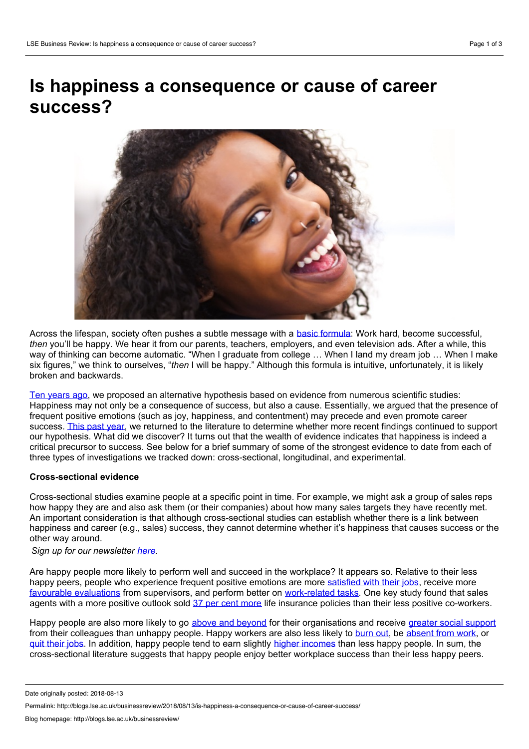# **Is happiness a consequence or cause of career success?**



Across the lifespan, society often pushes a subtle message with a basic [formula](https://www.amazon.com/Happiness-Advantage-Positive-Brain-Success-ebook/dp/B003F3PMYI/ref=sr_1_2?ie=UTF8&qid=1532555287&sr=8-2&keywords=happiness+advantage+by+shawn+achor+paperback): Work hard, become successful, *then* you'll be happy. We hear it from our parents, teachers, employers, and even television ads. After a while, this way of thinking can become automatic. "When I graduate from college ... When I land my dream job ... When I make six figures," we think to ourselves, "*then* I will be happy." Although this formula is intuitive, unfortunately, it is likely broken and backwards.

Ten [years](http://sonjalyubomirsky.com/wp-content/themes/sonjalyubomirsky/papers/BL2008.pdf) ago, we proposed an alternative hypothesis based on evidence from numerous scientific studies: Happiness may not only be a consequence of success, but also a cause. Essentially, we argued that the presence of frequent positive emotions (such as joy, happiness, and contentment) may precede and even promote career success. This past [year](http://sonjalyubomirsky.com/files/2012/09/Walsh-Boehm-Lyubomirsky-2018-1.pdf), we returned to the literature to determine whether more recent findings continued to support our hypothesis. What did we discover? It turns out that the wealth of evidence indicates that happiness is indeed a critical precursor to success. See below for a brief summary of some of the strongest evidence to date from each of three types of investigations we tracked down: cross-sectional, longitudinal, and experimental.

## **Cross-sectional evidence**

Cross-sectional studies examine people at a specific point in time. For example, we might ask a group of sales reps how happy they are and also ask them (or their companies) about how many sales targets they have recently met. An important consideration is that although cross-sectional studies can establish whether there is a link between happiness and career (e.g., sales) success, they cannot determine whether it's happiness that causes success or the other way around.

*Sign up for our newsletter [here.](http://blogs.lse.ac.uk/businessreview/subscribe-to-our-newsletter/)*

Are happy people more likely to perform well and succeed in the workplace? It appears so. Relative to their less happy peers, people who experience frequent positive emotions are more [satisfied](https://onlinelibrary.wiley.com/doi/abs/10.1348/096317909X478557) with their jobs, receive more favourable [evaluations](https://onlinelibrary.wiley.com/doi/abs/10.1002/(SICI)1099-1379(199901)20:1%3C1::AID-JOB885%3E3.0.CO;2-W) from supervisors, and perform better on [work-related](https://onlinelibrary.wiley.com/doi/pdf/10.1111/j.1744-7941.2012.00029.x) tasks. One key study found that sales agents with a [more](https://www.researchgate.net/profile/Peter_Schulman/publication/232497771_Explanatory_Style_as_a_Predictor_of_Productivity_and_Quitting_Among_Life_Insurance_Sales_Agents/links/547cc8f70cf2cfe203c1fc7c/Explanatory-Style-as-a-Predictor-of-Productivity-and-Quitting-Among-Life-Insurance-Sales-Agents.pdf) positive outlook sold 37 per cent more life insurance policies than their less positive co-workers.

Happy people are also more likely to go above and [beyond](https://www.researchgate.net/profile/Reeshad_Dalal/publication/258736403_The_Relative_Importance_of_Employee_Engagement_Other_Job_Attitudes_and_Trait_Affect_as_Predictors_of_Job_Performance/links/5a70a9f00f7e9ba2e1cb0378/The-Relative-Importance-of-Employee-Engagement-Other-Job-Attitudes-and-Trait-Affect-as-Predictors-of-Job-Performance.pdf) for their organisations and receive greater social [support](https://www.sciencedirect.com/science/article/abs/pii/S0001879196915560) from their colleagues than unhappy people. Happy workers are also less likely to [burn](https://www.tandfonline.com/doi/full/10.3109/0142159X.2012.687478) out, be [absent](http://journals.sagepub.com/doi/abs/10.1177/10717919070130020401) from work, or quit [their](http://psycnet.apa.org/record/2000-03046-001) jobs. In addition, happy people tend to earn slightly higher [incomes](https://link.springer.com/content/pdf/10.1023/A:1014411319119.pdf) than less happy people. In sum, the cross-sectional literature suggests that happy people enjoy better workplace success than their less happy peers.

Date originally posted: 2018-08-13

Permalink: http://blogs.lse.ac.uk/businessreview/2018/08/13/is-happiness-a-consequence-or-cause-of-career-success/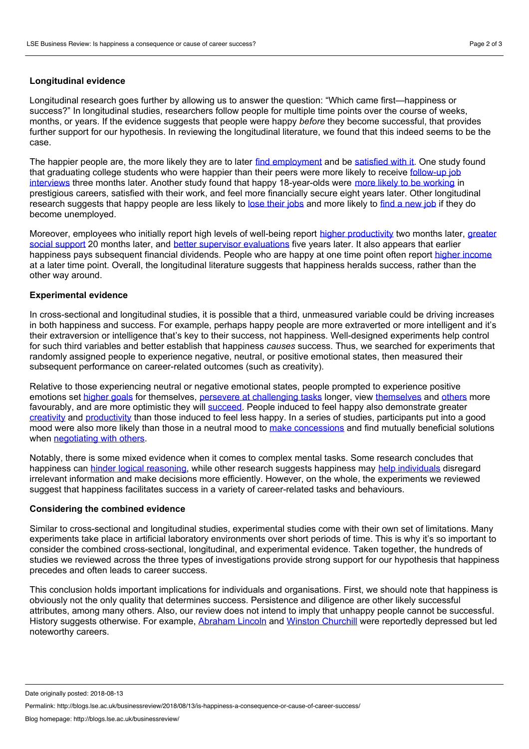### **Longitudinal evidence**

Longitudinal research goes further by allowing us to answer the question: "Which came first—happiness or success?" In longitudinal studies, researchers follow people for multiple time points over the course of weeks, months, or years. If the evidence suggests that people were happy *before* they become successful, that provides further support for our hypothesis. In reviewing the longitudinal literature, we found that this indeed seems to be the case.

The happier people are, the more likely they are to later find [employment](http://citeseerx.ist.psu.edu/viewdoc/download?doi=10.1.1.719.171&rep=rep1&type=pdf) and be [satisfied](http://web.mit.edu/curhan/www/docs/Articles/15341_Readings/Affect/Watson.pdf) with it. One study found that graduating college students who were happier than their peers were more likely to receive follow-up job interviews three months later. Another study found that happy [18-year-olds](https://link.springer.com/content/pdf/10.1023/A:1005539609679.pdf) were more likely to be [working](https://s3.amazonaws.com/academia.edu.documents/23773/1cq27nq1b3rza545571m.pdf?AWSAccessKeyId=AKIAIWOWYYGZ2Y53UL3A&Expires=1532649957&Signature=Wx86uupHsaQjq6FsyWNjERUd5mw%3D&response-content-disposition=inline%3B filename%3Db_Personality_Development_b_and_b_Growt.pdf) in prestigious careers, satisfied with their work, and feel more financially secure eight years later. Other longitudinal research suggests that happy people are less likely to lose [their](https://link.springer.com/content/pdf/10.1023/A:1019672513984.pdf) jobs and more likely to find a [new](https://link.springer.com/content/pdf/10.1023/A:1006928507272.pdf) job if they do become unemployed.

Moreover, employees who initially report high levels of well-being report higher [productivity](https://link.springer.com/article/10.1007/s10902-008-9087-4) two months later, greater social support 20 months later, and better supervisor [evaluations](https://www.jstor.org/stable/pdf/2635070.pdf?casa_token=uqqnIF3dFNkAAAAA:TEdTGARzUv1sbUTHh7YS2i2nncKSWHzCaAb7AZgEEu9iM2wggaeGzJANd5aYyIdjj6N6Dv7v-Cx83fHHWuO72ZAZBuozFF4dCYzWmMHBQbfkWYJbHNffXw) five years later. It also appears that earlier happiness pays subsequent financial dividends. People who are happy at one time point often report higher [income](http://citeseerx.ist.psu.edu/viewdoc/download?doi=10.1.1.485.4241&rep=rep1&type=pdf) at a later time point. Overall, the longitudinal literature suggests that happiness heralds success, rather than the other way around.

#### **Experimental evidence**

In cross-sectional and longitudinal studies, it is possible that a third, unmeasured variable could be driving increases in both happiness and success. For example, perhaps happy people are more extraverted or more intelligent and it's their extraversion or intelligence that's key to their success, not happiness. Well-designed experiments help control for such third variables and better establish that happiness *causes* success. Thus, we searched for experiments that randomly assigned people to experience negative, neutral, or positive emotional states, then measured their subsequent performance on career-related outcomes (such as creativity).

Relative to those experiencing neutral or negative emotional states, people prompted to experience positive emotions set [higher](https://link.springer.com/article/10.1007/BF00992168) goals for themselves, persevere at [challenging](http://psycnet.apa.org/buy/1986-29171-001) tasks longer, view [themselves](http://psycnet.apa.org/buy/1986-29171-001) and [others](https://onlinelibrary.wiley.com/doi/abs/10.1111/j.1559-1816.1993.tb01086.x) more favourably, and are more optimistic they will [succeed](https://link.springer.com/article/10.1007/BF00991872). People induced to feel happy also demonstrate greater [creativity](http://psycnet.apa.org/record/2003-01661-006) and [productivity](https://www.econstor.eu/bitstream/10419/35451/1/522164196.pdf) than those induced to feel less happy. In a series of studies, participants put into a good mood were also more likely than those in a neutral mood to make [concessions](http://projects.ict.usc.edu/vhumans/2007/Carnevale %28in press%2C Group Decision %26 Negotiation%29 positive affect and frame.pdf) and find mutually beneficial solutions when [negotiating](https://deepblue.lib.umich.edu/bitstream/handle/2027.42/26263/0000344.pdf?sequence=1&isAllowed=y) with others.

Notably, there is some mixed evidence when it comes to complex mental tasks. Some research concludes that happiness can hinder logical [reasoning,](http://journals.sagepub.com/doi/abs/10.1177/0146167295218001) while other research suggests happiness may help [individuals](https://guilfordjournals.com/doi/abs/10.1521/soco.1983.2.1.18) disregard irrelevant information and make decisions more efficiently. However, on the whole, the experiments we reviewed suggest that happiness facilitates success in a variety of career-related tasks and behaviours.

### **Considering the combined evidence**

Similar to cross-sectional and longitudinal studies, experimental studies come with their own set of limitations. Many experiments take place in artificial laboratory environments over short periods of time. This is why it's so important to consider the combined cross-sectional, longitudinal, and experimental evidence. Taken together, the hundreds of studies we reviewed across the three types of investigations provide strong support for our hypothesis that happiness precedes and often leads to career success.

This conclusion holds important implications for individuals and organisations. First, we should note that happiness is obviously not the only quality that determines success. Persistence and diligence are other likely successful attributes, among many others. Also, our review does not intend to imply that unhappy people cannot be successful. History suggests otherwise. For example, [Abraham](https://www.theatlantic.com/magazine/archive/2005/10/lincolns-great-depression/304247/) Lincoln and Winston [Churchill](http://www.bbc.co.uk/guides/zqjpsbk) were reportedly depressed but led noteworthy careers.

Date originally posted: 2018-08-13

Permalink: http://blogs.lse.ac.uk/businessreview/2018/08/13/is-happiness-a-consequence-or-cause-of-career-success/